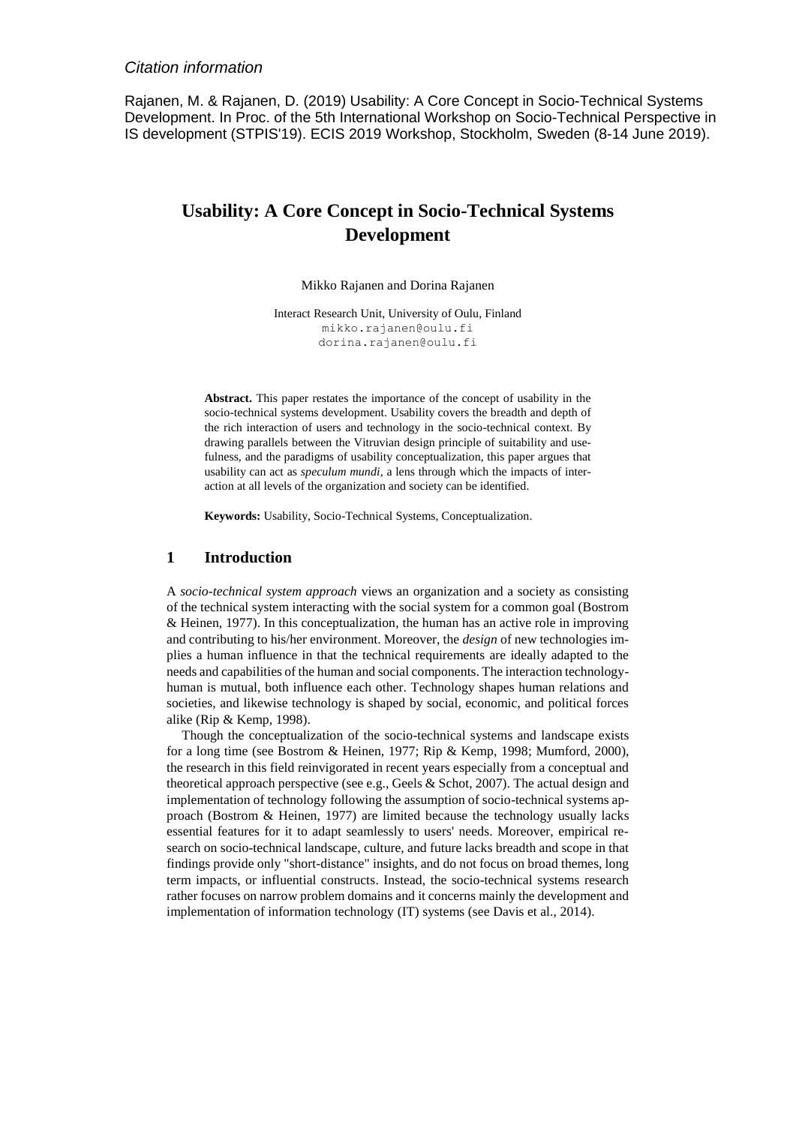# *Citation information*

Rajanen, M. & Rajanen, D. (2019) Usability: A Core Concept in Socio-Technical Systems Development. In Proc. of the 5th International Workshop on Socio-Technical Perspective in IS development (STPIS'19). ECIS 2019 Workshop, Stockholm, Sweden (8-14 June 2019).

# **Usability: A Core Concept in Socio-Technical Systems Development**

Mikko Rajanen and Dorina Rajanen

Interact Research Unit, University of Oulu, Finland mikk[o.rajanen@oulu.fi](mailto:.rajanen@oulu.fi) dorina.rajanen@oulu.fi

**Abstract.** This paper restates the importance of the concept of usability in the socio-technical systems development. Usability covers the breadth and depth of the rich interaction of users and technology in the socio-technical context. By drawing parallels between the Vitruvian design principle of suitability and usefulness, and the paradigms of usability conceptualization, this paper argues that usability can act as *speculum mundi*, a lens through which the impacts of interaction at all levels of the organization and society can be identified.

**Keywords:** Usability, Socio-Technical Systems, Conceptualization.

### **1 Introduction**

A *socio-technical system approach* views an organization and a society as consisting of the technical system interacting with the social system for a common goal (Bostrom & Heinen, 1977). In this conceptualization, the human has an active role in improving and contributing to his/her environment. Moreover, the *design* of new technologies implies a human influence in that the technical requirements are ideally adapted to the needs and capabilities of the human and social components. The interaction technologyhuman is mutual, both influence each other. Technology shapes human relations and societies, and likewise technology is shaped by social, economic, and political forces alike (Rip & Kemp, 1998).

Though the conceptualization of the socio-technical systems and landscape exists for a long time (see Bostrom & Heinen, 1977; Rip & Kemp, 1998; Mumford, 2000), the research in this field reinvigorated in recent years especially from a conceptual and theoretical approach perspective (see e.g., Geels  $&$  Schot, 2007). The actual design and implementation of technology following the assumption of socio-technical systems approach (Bostrom & Heinen, 1977) are limited because the technology usually lacks essential features for it to adapt seamlessly to users' needs. Moreover, empirical research on socio-technical landscape, culture, and future lacks breadth and scope in that findings provide only "short-distance" insights, and do not focus on broad themes, long term impacts, or influential constructs. Instead, the socio-technical systems research rather focuses on narrow problem domains and it concerns mainly the development and implementation of information technology (IT) systems (see Davis et al., 2014).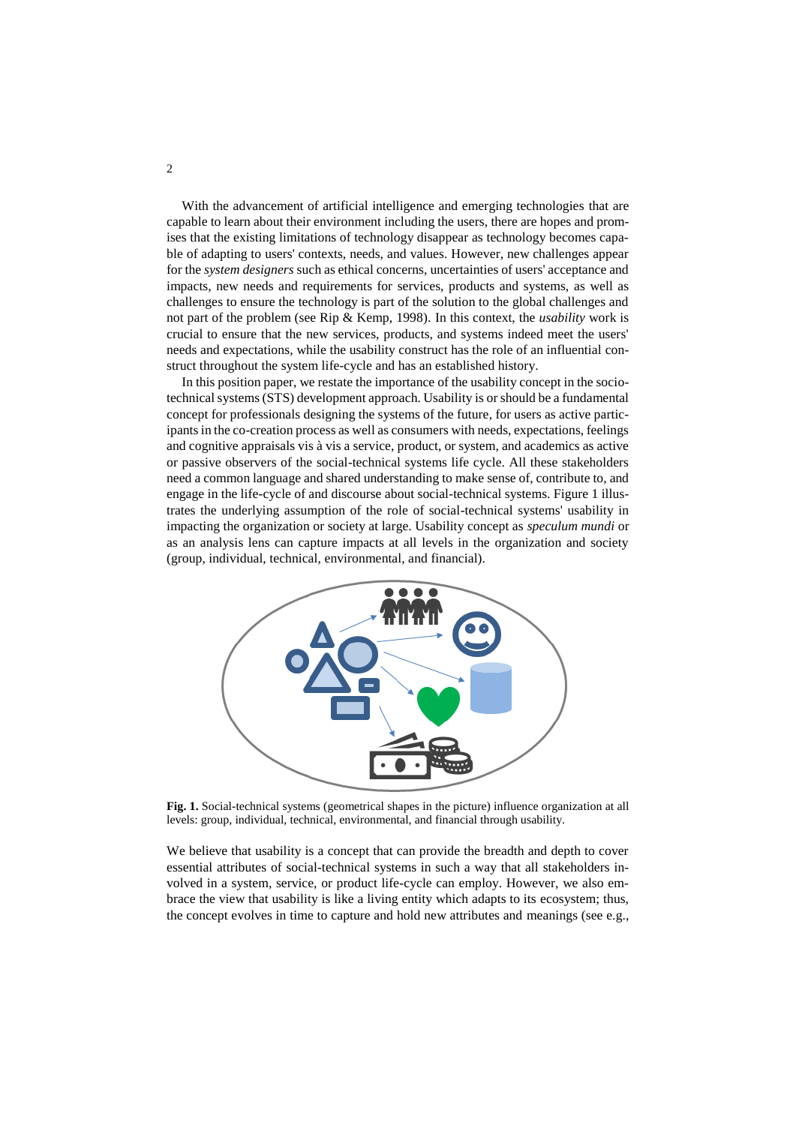With the advancement of artificial intelligence and emerging technologies that are capable to learn about their environment including the users, there are hopes and promises that the existing limitations of technology disappear as technology becomes capable of adapting to users' contexts, needs, and values. However, new challenges appear for the *system designers* such as ethical concerns, uncertainties of users' acceptance and impacts, new needs and requirements for services, products and systems, as well as challenges to ensure the technology is part of the solution to the global challenges and not part of the problem (see Rip & Kemp, 1998). In this context, the *usability* work is crucial to ensure that the new services, products, and systems indeed meet the users' needs and expectations, while the usability construct has the role of an influential construct throughout the system life-cycle and has an established history.

In this position paper, we restate the importance of the usability concept in the sociotechnical systems (STS) development approach. Usability is or should be a fundamental concept for professionals designing the systems of the future, for users as active participants in the co-creation process as well as consumers with needs, expectations, feelings and cognitive appraisals vis à vis a service, product, or system, and academics as active or passive observers of the social-technical systems life cycle. All these stakeholders need a common language and shared understanding to make sense of, contribute to, and engage in the life-cycle of and discourse about social-technical systems. Figure 1 illustrates the underlying assumption of the role of social-technical systems' usability in impacting the organization or society at large. Usability concept as *speculum mundi* or as an analysis lens can capture impacts at all levels in the organization and society (group, individual, technical, environmental, and financial).



**Fig. 1.** Social-technical systems (geometrical shapes in the picture) influence organization at all levels: group, individual, technical, environmental, and financial through usability.

We believe that usability is a concept that can provide the breadth and depth to cover essential attributes of social-technical systems in such a way that all stakeholders involved in a system, service, or product life-cycle can employ. However, we also embrace the view that usability is like a living entity which adapts to its ecosystem; thus, the concept evolves in time to capture and hold new attributes and meanings (see e.g.,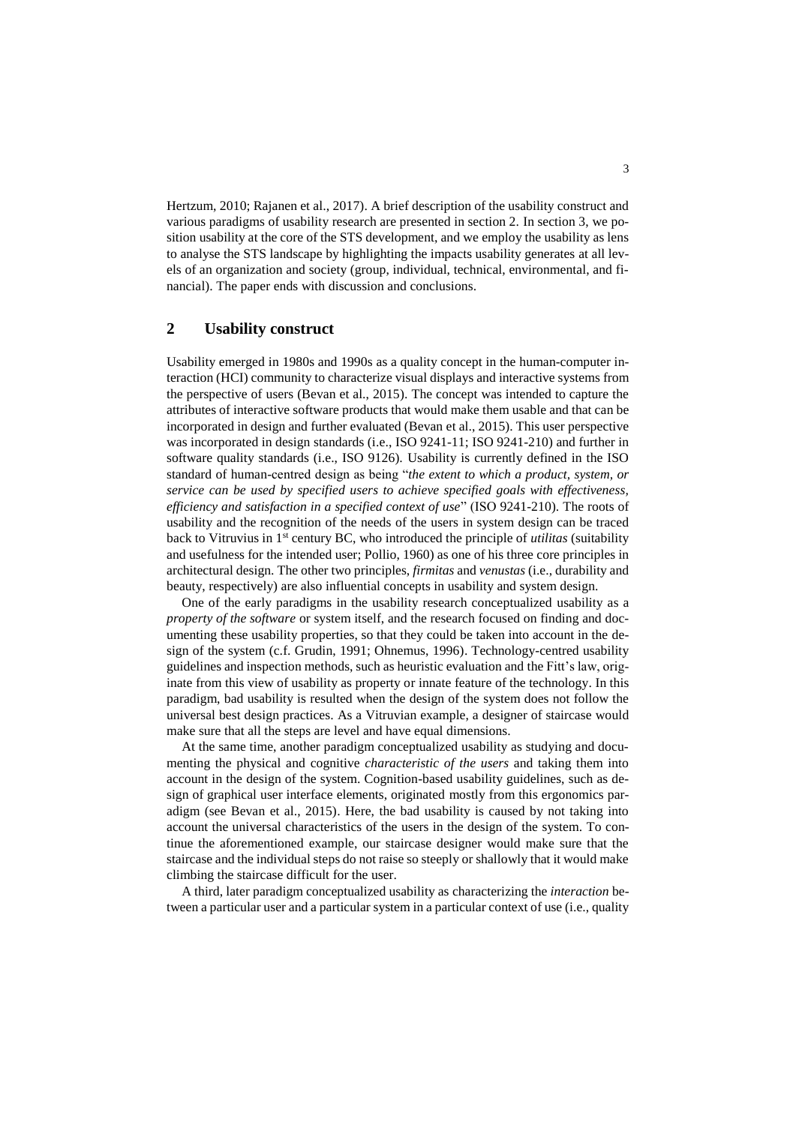Hertzum, 2010; Rajanen et al., 2017). A brief description of the usability construct and various paradigms of usability research are presented in section 2. In section 3, we position usability at the core of the STS development, and we employ the usability as lens to analyse the STS landscape by highlighting the impacts usability generates at all levels of an organization and society (group, individual, technical, environmental, and financial). The paper ends with discussion and conclusions.

# **2 Usability construct**

Usability emerged in 1980s and 1990s as a quality concept in the human-computer interaction (HCI) community to characterize visual displays and interactive systems from the perspective of users (Bevan et al., 2015). The concept was intended to capture the attributes of interactive software products that would make them usable and that can be incorporated in design and further evaluated (Bevan et al., 2015). This user perspective was incorporated in design standards (i.e., ISO 9241-11; ISO 9241-210) and further in software quality standards (i.e., ISO 9126). Usability is currently defined in the ISO standard of human-centred design as being "*the extent to which a product, system, or service can be used by specified users to achieve specified goals with effectiveness, efficiency and satisfaction in a specified context of use*" (ISO 9241-210). The roots of usability and the recognition of the needs of the users in system design can be traced back to Vitruvius in 1st century BC, who introduced the principle of *utilitas* (suitability and usefulness for the intended user; Pollio, 1960) as one of his three core principles in architectural design. The other two principles, *firmitas* and *venustas* (i.e., durability and beauty, respectively) are also influential concepts in usability and system design.

One of the early paradigms in the usability research conceptualized usability as a *property of the software* or system itself, and the research focused on finding and documenting these usability properties, so that they could be taken into account in the design of the system (c.f. Grudin, 1991; Ohnemus, 1996). Technology-centred usability guidelines and inspection methods, such as heuristic evaluation and the Fitt's law, originate from this view of usability as property or innate feature of the technology. In this paradigm, bad usability is resulted when the design of the system does not follow the universal best design practices. As a Vitruvian example, a designer of staircase would make sure that all the steps are level and have equal dimensions.

At the same time, another paradigm conceptualized usability as studying and documenting the physical and cognitive *characteristic of the users* and taking them into account in the design of the system. Cognition-based usability guidelines, such as design of graphical user interface elements, originated mostly from this ergonomics paradigm (see Bevan et al., 2015). Here, the bad usability is caused by not taking into account the universal characteristics of the users in the design of the system. To continue the aforementioned example, our staircase designer would make sure that the staircase and the individual steps do not raise so steeply or shallowly that it would make climbing the staircase difficult for the user.

A third, later paradigm conceptualized usability as characterizing the *interaction* between a particular user and a particular system in a particular context of use (i.e., quality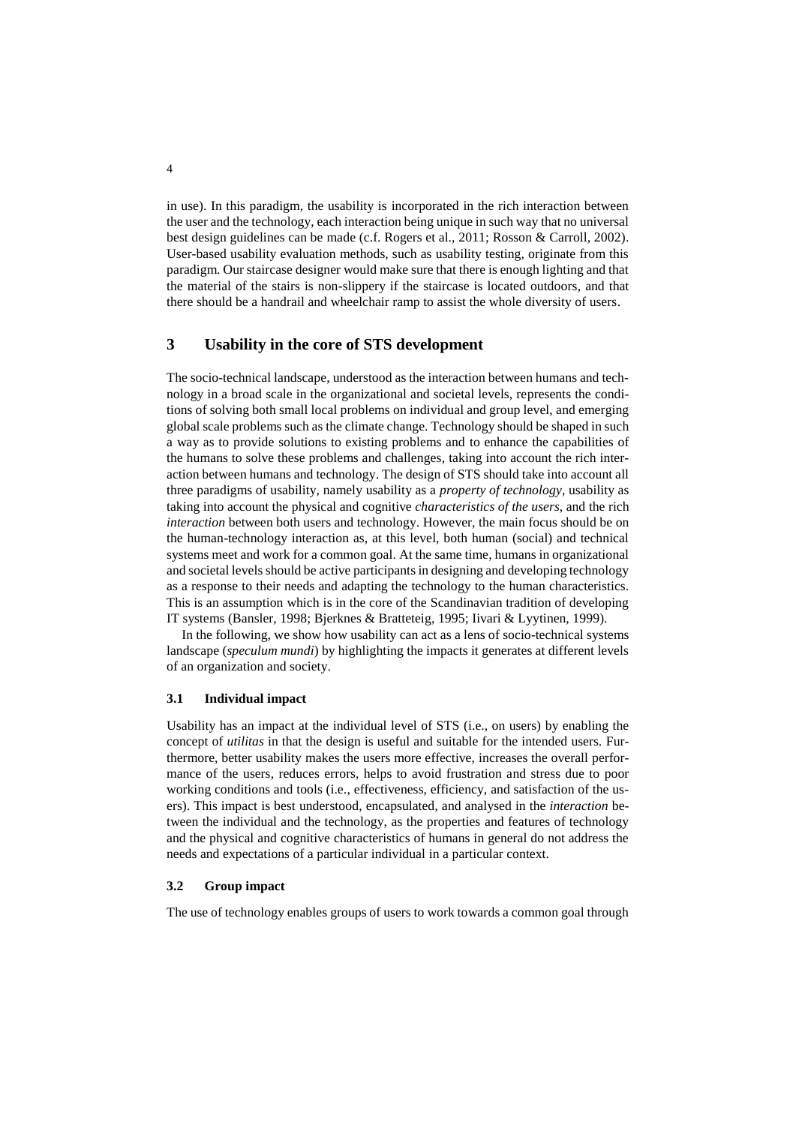in use). In this paradigm, the usability is incorporated in the rich interaction between the user and the technology, each interaction being unique in such way that no universal best design guidelines can be made (c.f. Rogers et al., 2011; Rosson & Carroll, 2002). User-based usability evaluation methods, such as usability testing, originate from this paradigm. Our staircase designer would make sure that there is enough lighting and that the material of the stairs is non-slippery if the staircase is located outdoors, and that there should be a handrail and wheelchair ramp to assist the whole diversity of users.

# **3 Usability in the core of STS development**

The socio-technical landscape, understood as the interaction between humans and technology in a broad scale in the organizational and societal levels, represents the conditions of solving both small local problems on individual and group level, and emerging global scale problems such as the climate change. Technology should be shaped in such a way as to provide solutions to existing problems and to enhance the capabilities of the humans to solve these problems and challenges, taking into account the rich interaction between humans and technology. The design of STS should take into account all three paradigms of usability, namely usability as a *property of technology*, usability as taking into account the physical and cognitive *characteristics of the users*, and the rich *interaction* between both users and technology. However, the main focus should be on the human-technology interaction as, at this level, both human (social) and technical systems meet and work for a common goal. At the same time, humans in organizational and societal levels should be active participants in designing and developing technology as a response to their needs and adapting the technology to the human characteristics. This is an assumption which is in the core of the Scandinavian tradition of developing IT systems (Bansler, 1998; Bjerknes & Bratteteig, 1995; Iivari & Lyytinen, 1999).

In the following, we show how usability can act as a lens of socio-technical systems landscape (*speculum mundi*) by highlighting the impacts it generates at different levels of an organization and society.

### **3.1 Individual impact**

Usability has an impact at the individual level of STS (i.e., on users) by enabling the concept of *utilitas* in that the design is useful and suitable for the intended users. Furthermore, better usability makes the users more effective, increases the overall performance of the users, reduces errors, helps to avoid frustration and stress due to poor working conditions and tools (i.e., effectiveness, efficiency, and satisfaction of the users). This impact is best understood, encapsulated, and analysed in the *interaction* between the individual and the technology, as the properties and features of technology and the physical and cognitive characteristics of humans in general do not address the needs and expectations of a particular individual in a particular context.

#### **3.2 Group impact**

The use of technology enables groups of users to work towards a common goal through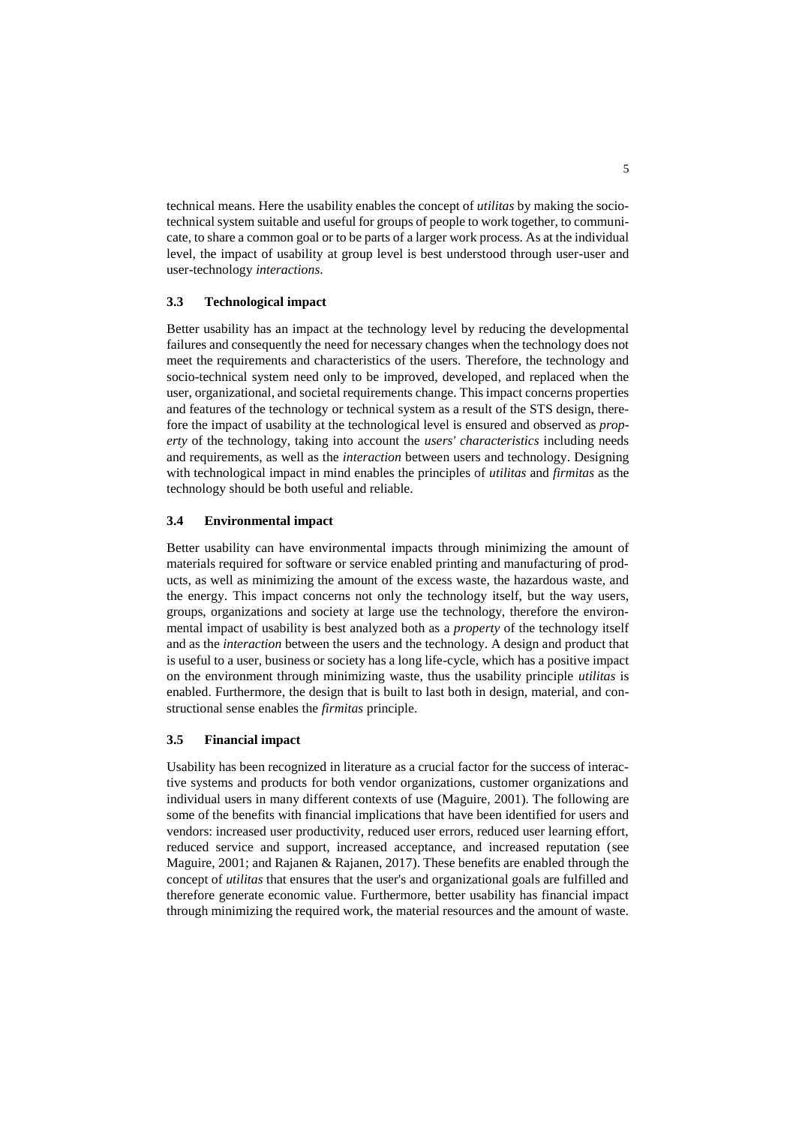technical means. Here the usability enables the concept of *utilitas* by making the sociotechnical system suitable and useful for groups of people to work together, to communicate, to share a common goal or to be parts of a larger work process. As at the individual level, the impact of usability at group level is best understood through user-user and user-technology *interactions*.

#### **3.3 Technological impact**

Better usability has an impact at the technology level by reducing the developmental failures and consequently the need for necessary changes when the technology does not meet the requirements and characteristics of the users. Therefore, the technology and socio-technical system need only to be improved, developed, and replaced when the user, organizational, and societal requirements change. This impact concerns properties and features of the technology or technical system as a result of the STS design, therefore the impact of usability at the technological level is ensured and observed as *property* of the technology, taking into account the *users' characteristics* including needs and requirements, as well as the *interaction* between users and technology. Designing with technological impact in mind enables the principles of *utilitas* and *firmitas* as the technology should be both useful and reliable.

#### **3.4 Environmental impact**

Better usability can have environmental impacts through minimizing the amount of materials required for software or service enabled printing and manufacturing of products, as well as minimizing the amount of the excess waste, the hazardous waste, and the energy. This impact concerns not only the technology itself, but the way users, groups, organizations and society at large use the technology, therefore the environmental impact of usability is best analyzed both as a *property* of the technology itself and as the *interaction* between the users and the technology. A design and product that is useful to a user, business or society has a long life-cycle, which has a positive impact on the environment through minimizing waste, thus the usability principle *utilitas* is enabled. Furthermore, the design that is built to last both in design, material, and constructional sense enables the *firmitas* principle.

#### **3.5 Financial impact**

Usability has been recognized in literature as a crucial factor for the success of interactive systems and products for both vendor organizations, customer organizations and individual users in many different contexts of use (Maguire, 2001). The following are some of the benefits with financial implications that have been identified for users and vendors: increased user productivity, reduced user errors, reduced user learning effort, reduced service and support, increased acceptance, and increased reputation (see Maguire, 2001; and Rajanen & Rajanen, 2017). These benefits are enabled through the concept of *utilitas* that ensures that the user's and organizational goals are fulfilled and therefore generate economic value. Furthermore, better usability has financial impact through minimizing the required work, the material resources and the amount of waste.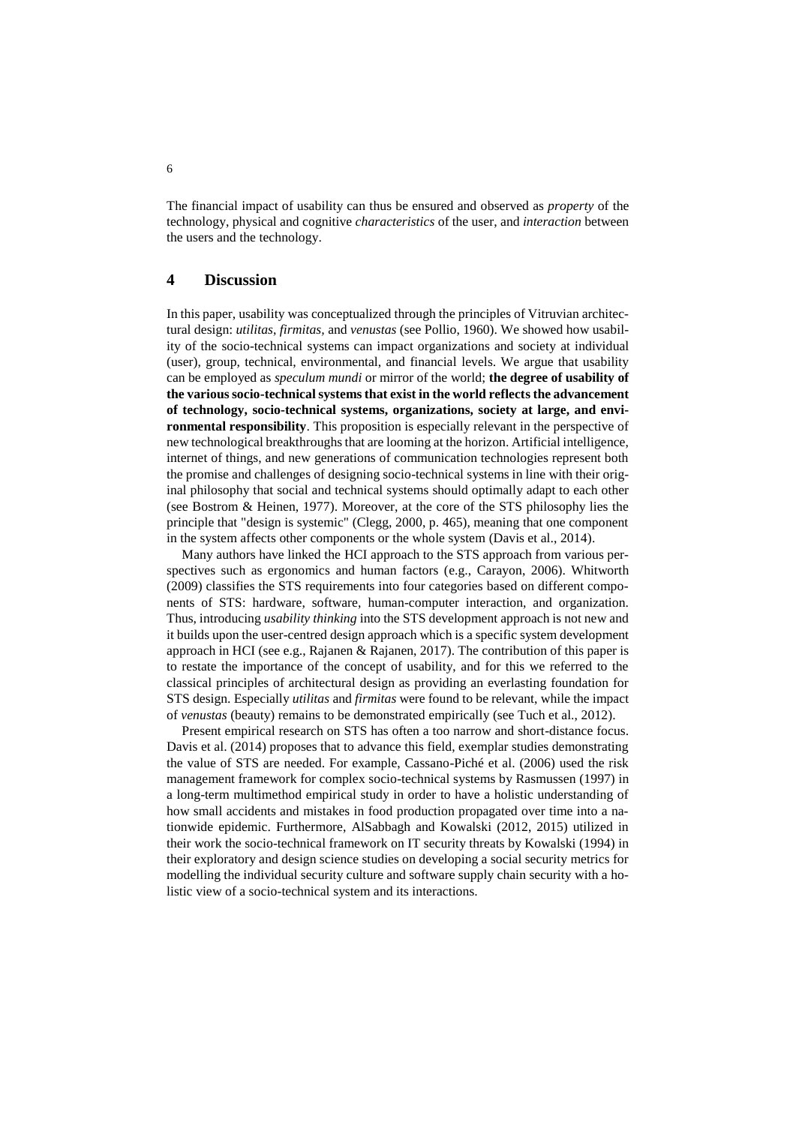The financial impact of usability can thus be ensured and observed as *property* of the technology, physical and cognitive *characteristics* of the user, and *interaction* between the users and the technology.

## **4 Discussion**

In this paper, usability was conceptualized through the principles of Vitruvian architectural design: *utilitas*, *firmitas,* and *venustas* (see Pollio, 1960). We showed how usability of the socio-technical systems can impact organizations and society at individual (user), group, technical, environmental, and financial levels. We argue that usability can be employed as *speculum mundi* or mirror of the world; **the degree of usability of**  the various socio-technical systems that exist in the world reflects the advancement **of technology, socio-technical systems, organizations, society at large, and environmental responsibility**. This proposition is especially relevant in the perspective of new technological breakthroughs that are looming at the horizon. Artificial intelligence, internet of things, and new generations of communication technologies represent both the promise and challenges of designing socio-technical systems in line with their original philosophy that social and technical systems should optimally adapt to each other (see Bostrom & Heinen, 1977). Moreover, at the core of the STS philosophy lies the principle that "design is systemic" (Clegg, 2000, p. 465), meaning that one component in the system affects other components or the whole system (Davis et al., 2014).

Many authors have linked the HCI approach to the STS approach from various perspectives such as ergonomics and human factors (e.g., Carayon, 2006). Whitworth (2009) classifies the STS requirements into four categories based on different components of STS: hardware, software, human-computer interaction, and organization. Thus, introducing *usability thinking* into the STS development approach is not new and it builds upon the user-centred design approach which is a specific system development approach in HCI (see e.g., Rajanen & Rajanen, 2017). The contribution of this paper is to restate the importance of the concept of usability, and for this we referred to the classical principles of architectural design as providing an everlasting foundation for STS design. Especially *utilitas* and *firmitas* were found to be relevant, while the impact of *venustas* (beauty) remains to be demonstrated empirically (see Tuch et al., 2012).

Present empirical research on STS has often a too narrow and short-distance focus. Davis et al. (2014) proposes that to advance this field, exemplar studies demonstrating the value of STS are needed. For example, Cassano-Piché et al. (2006) used the risk management framework for complex socio-technical systems by Rasmussen (1997) in a long-term multimethod empirical study in order to have a holistic understanding of how small accidents and mistakes in food production propagated over time into a nationwide epidemic. Furthermore, AlSabbagh and Kowalski (2012, 2015) utilized in their work the socio-technical framework on IT security threats by Kowalski (1994) in their exploratory and design science studies on developing a social security metrics for modelling the individual security culture and software supply chain security with a holistic view of a socio-technical system and its interactions.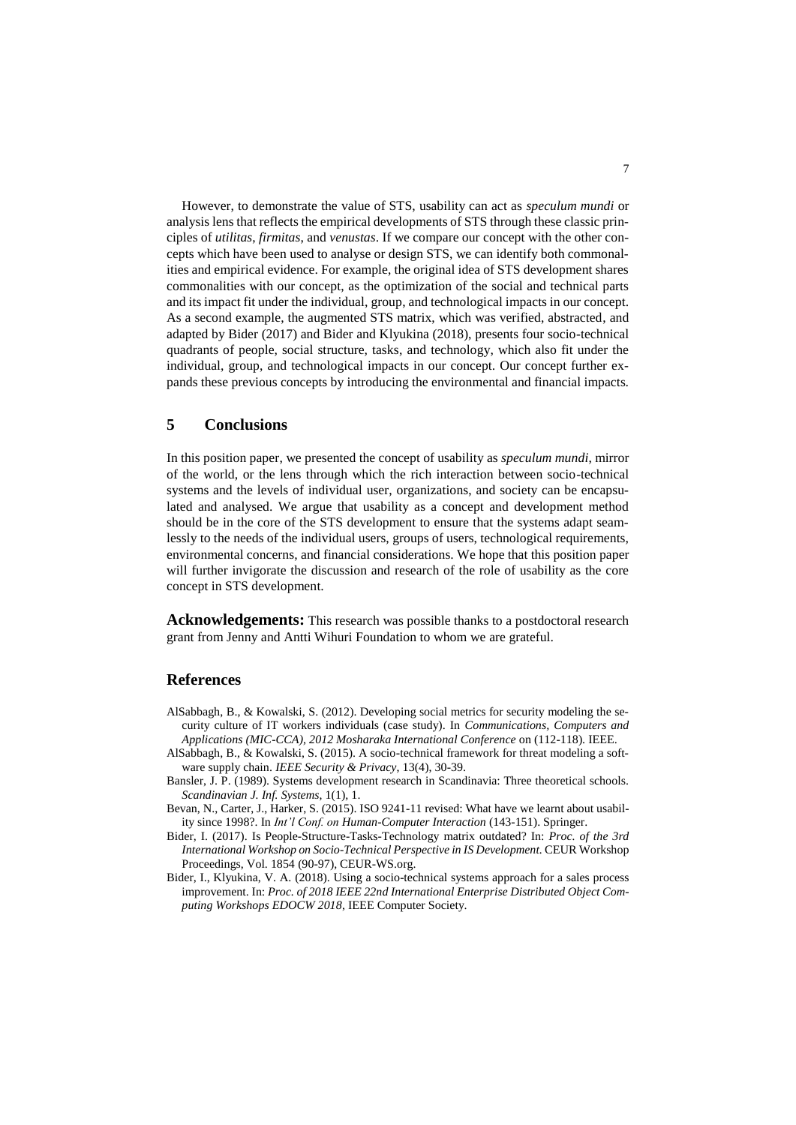However, to demonstrate the value of STS, usability can act as *speculum mundi* or analysis lens that reflects the empirical developments of STS through these classic principles of *utilitas*, *firmitas*, and *venustas*. If we compare our concept with the other concepts which have been used to analyse or design STS, we can identify both commonalities and empirical evidence. For example, the original idea of STS development shares commonalities with our concept, as the optimization of the social and technical parts and its impact fit under the individual, group, and technological impacts in our concept. As a second example, the augmented STS matrix, which was verified, abstracted, and adapted by Bider (2017) and Bider and Klyukina (2018), presents four socio-technical quadrants of people, social structure, tasks, and technology, which also fit under the individual, group, and technological impacts in our concept. Our concept further expands these previous concepts by introducing the environmental and financial impacts.

### **5 Conclusions**

In this position paper, we presented the concept of usability as *speculum mundi*, mirror of the world, or the lens through which the rich interaction between socio-technical systems and the levels of individual user, organizations, and society can be encapsulated and analysed. We argue that usability as a concept and development method should be in the core of the STS development to ensure that the systems adapt seamlessly to the needs of the individual users, groups of users, technological requirements, environmental concerns, and financial considerations. We hope that this position paper will further invigorate the discussion and research of the role of usability as the core concept in STS development.

**Acknowledgements:** This research was possible thanks to a postdoctoral research grant from Jenny and Antti Wihuri Foundation to whom we are grateful.

# **References**

- AlSabbagh, B., & Kowalski, S. (2012). Developing social metrics for security modeling the security culture of IT workers individuals (case study). In *Communications, Computers and Applications (MIC-CCA), 2012 Mosharaka International Conference* on (112-118). IEEE.
- AlSabbagh, B., & Kowalski, S. (2015). A socio-technical framework for threat modeling a software supply chain. *IEEE Security & Privacy*, 13(4), 30-39.
- Bansler, J. P. (1989). Systems development research in Scandinavia: Three theoretical schools. *Scandinavian J. Inf. Systems*, 1(1), 1.
- Bevan, N., Carter, J., Harker, S. (2015). ISO 9241-11 revised: What have we learnt about usability since 1998?. In *Int'l Conf. on Human-Computer Interaction* (143-151). Springer.
- Bider, I. (2017). Is People-Structure-Tasks-Technology matrix outdated? In: *Proc. of the 3rd International Workshop on Socio-Technical Perspective in IS Development.* CEUR Workshop Proceedings, Vol. 1854 (90-97), CEUR-WS.org.
- Bider, I., Klyukina, V. A. (2018). Using a socio-technical systems approach for a sales process improvement. In: *Proc. of 2018 IEEE 22nd International Enterprise Distributed Object Computing Workshops EDOCW 2018*, IEEE Computer Society.